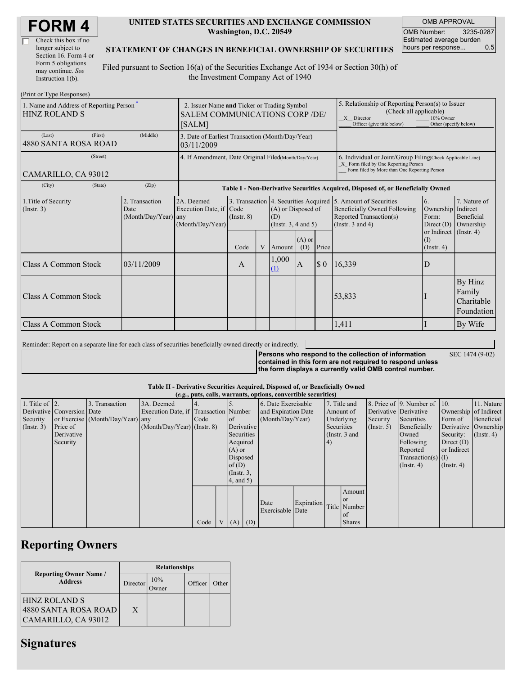| <b>FORM4</b> |
|--------------|
|--------------|

| Check this box if no  |
|-----------------------|
| longer subject to     |
| Section 16. Form 4 or |
| Form 5 obligations    |
| may continue. See     |
| Instruction $1(b)$ .  |

 $(D_{\text{rint}} \text{ or } T_{\text{V}} \text{ as } D_{\text{c}}$ 

#### **UNITED STATES SECURITIES AND EXCHANGE COMMISSION Washington, D.C. 20549**

OMB APPROVAL OMB Number: 3235-0287 Estimated average burden hours per response... 0.5

SEC 1474 (9-02)

#### **STATEMENT OF CHANGES IN BENEFICIAL OWNERSHIP OF SECURITIES**

Filed pursuant to Section 16(a) of the Securities Exchange Act of 1934 or Section 30(h) of the Investment Company Act of 1940

| 1. Name and Address of Reporting Person-<br><b>HINZ ROLAND S</b> | 2. Issuer Name and Ticker or Trading Symbol<br><b>SALEM COMMUNICATIONS CORP/DE/</b><br>[SALM] |                                                                                  |                         |   |                                                                 | 5. Relationship of Reporting Person(s) to Issuer<br>(Check all applicable)<br>X Director<br>Officer (give title below) | 10% Owner<br>Other (specify below)                                                                                                                 |                                                                                                                                                          |                                                                                                                   |                                               |
|------------------------------------------------------------------|-----------------------------------------------------------------------------------------------|----------------------------------------------------------------------------------|-------------------------|---|-----------------------------------------------------------------|------------------------------------------------------------------------------------------------------------------------|----------------------------------------------------------------------------------------------------------------------------------------------------|----------------------------------------------------------------------------------------------------------------------------------------------------------|-------------------------------------------------------------------------------------------------------------------|-----------------------------------------------|
| (First)<br>(Last)<br>4880 SANTA ROSA ROAD                        | (Middle)                                                                                      | 3. Date of Earliest Transaction (Month/Day/Year)<br>03/11/2009                   |                         |   |                                                                 |                                                                                                                        |                                                                                                                                                    |                                                                                                                                                          |                                                                                                                   |                                               |
| (Street)<br>CAMARILLO, CA 93012                                  | 4. If Amendment, Date Original Filed(Month/Day/Year)                                          |                                                                                  |                         |   |                                                                 |                                                                                                                        | 6. Individual or Joint/Group Filing(Check Applicable Line)<br>X Form filed by One Reporting Person<br>Form filed by More than One Reporting Person |                                                                                                                                                          |                                                                                                                   |                                               |
| (City)<br>(State)                                                | (Zip)                                                                                         | Table I - Non-Derivative Securities Acquired, Disposed of, or Beneficially Owned |                         |   |                                                                 |                                                                                                                        |                                                                                                                                                    |                                                                                                                                                          |                                                                                                                   |                                               |
| 1. Title of Security<br>(Insert. 3)                              | 2. Transaction<br>Date<br>(Month/Day/Year) any                                                | 2A. Deemed<br>Execution Date, if Code<br>(Month/Day/Year)                        | $($ Instr. $8)$<br>Code | V | (A) or Disposed of<br>(D)<br>(Instr. $3, 4$ and $5$ )<br>Amount | $(A)$ or<br>(D)                                                                                                        | Price                                                                                                                                              | 3. Transaction 4. Securities Acquired 5. Amount of Securities<br><b>Beneficially Owned Following</b><br>Reported Transaction(s)<br>(Instr. $3$ and $4$ ) | <sup>6.</sup><br>Ownership Indirect<br>Form:<br>Direct $(D)$<br>or Indirect (Instr. 4)<br>(I)<br>$($ Instr. 4 $)$ | 7. Nature of<br>Beneficial<br>Ownership       |
| Class A Common Stock                                             | 03/11/2009                                                                                    |                                                                                  | A                       |   | 1,000<br>(1)                                                    | $\overline{A}$                                                                                                         | $\boldsymbol{\mathsf{S}}$ 0                                                                                                                        | 16,339                                                                                                                                                   | D                                                                                                                 |                                               |
| Class A Common Stock                                             |                                                                                               |                                                                                  |                         |   |                                                                 |                                                                                                                        |                                                                                                                                                    | 53,833                                                                                                                                                   |                                                                                                                   | By Hinz<br>Family<br>Charitable<br>Foundation |
| Class A Common Stock                                             |                                                                                               |                                                                                  |                         |   |                                                                 |                                                                                                                        |                                                                                                                                                    | 1,411                                                                                                                                                    |                                                                                                                   | By Wife                                       |

Reminder: Report on a separate line for each class of securities beneficially owned directly or indirectly.

**Persons who respond to the collection of information contained in this form are not required to respond unless the form displays a currently valid OMB control number.**

**Table II - Derivative Securities Acquired, Disposed of, or Beneficially Owned**

|                        |                            |                                  |                                       |      |                  |            | (e.g., puts, calls, warrants, options, convertible securities) |            |              |                  |                       |                          |                       |            |
|------------------------|----------------------------|----------------------------------|---------------------------------------|------|------------------|------------|----------------------------------------------------------------|------------|--------------|------------------|-----------------------|--------------------------|-----------------------|------------|
| 1. Title of $\vert$ 2. |                            | 3. Transaction                   | 3A. Deemed                            |      |                  |            | 6. Date Exercisable                                            |            | 7. Title and |                  |                       | 8. Price of 9. Number of | 110.                  | 11. Nature |
|                        | Derivative Conversion Date |                                  | Execution Date, if Transaction Number |      |                  |            | and Expiration Date                                            |            | Amount of    |                  | Derivative Derivative |                          | Ownership of Indirect |            |
| Security               |                            | or Exercise (Month/Day/Year) any |                                       | Code | <sub>of</sub>    |            | (Month/Day/Year)                                               |            | Underlying   |                  | Security              | Securities               | Form of               | Beneficial |
| (Insert. 3)            | Price of                   |                                  | $(Month/Day/Year)$ (Instr. 8)         |      |                  | Derivative |                                                                | Securities |              | $($ Instr. 5 $)$ | Beneficially          | Derivative Ownership     |                       |            |
|                        | Derivative                 |                                  |                                       |      | Securities       |            | (Instr. $3$ and                                                |            |              | Owned            | Security:             | $($ Instr. 4 $)$         |                       |            |
|                        | Security                   |                                  |                                       |      | Acquired         |            |                                                                |            | 4)           |                  |                       | Following                | Direct $(D)$          |            |
|                        |                            |                                  |                                       |      | $(A)$ or         |            |                                                                |            |              | Reported         | or Indirect           |                          |                       |            |
|                        |                            |                                  |                                       |      | Disposed         |            |                                                                |            |              |                  |                       | Transaction(s) $(I)$     |                       |            |
|                        |                            |                                  |                                       |      | of(D)            |            |                                                                |            |              |                  |                       | $($ Instr. 4 $)$         | $($ Instr. 4 $)$      |            |
|                        |                            |                                  |                                       |      | $($ Instr. $3$ , |            |                                                                |            |              |                  |                       |                          |                       |            |
|                        |                            |                                  |                                       |      | $4$ , and $5$ )  |            |                                                                |            |              |                  |                       |                          |                       |            |
|                        |                            |                                  |                                       |      |                  |            |                                                                |            |              | Amount           |                       |                          |                       |            |
|                        |                            |                                  |                                       |      |                  |            | Date                                                           | Expiration |              | <b>or</b>        |                       |                          |                       |            |
|                        |                            |                                  |                                       |      |                  |            | Exercisable Date                                               |            |              | Title Number     |                       |                          |                       |            |
|                        |                            |                                  |                                       |      |                  |            |                                                                |            |              | of               |                       |                          |                       |            |
|                        |                            |                                  |                                       | Code | V   (A)   (D)    |            |                                                                |            |              | <b>Shares</b>    |                       |                          |                       |            |

### **Reporting Owners**

|                                                                     | <b>Relationships</b> |     |         |       |  |  |  |  |
|---------------------------------------------------------------------|----------------------|-----|---------|-------|--|--|--|--|
| <b>Reporting Owner Name /</b><br><b>Address</b>                     | Director             | 10% | Officer | Other |  |  |  |  |
| <b>HINZ ROLAND S</b><br>4880 SANTA ROSA ROAD<br>CAMARILLO, CA 93012 | X                    |     |         |       |  |  |  |  |

# **Signatures**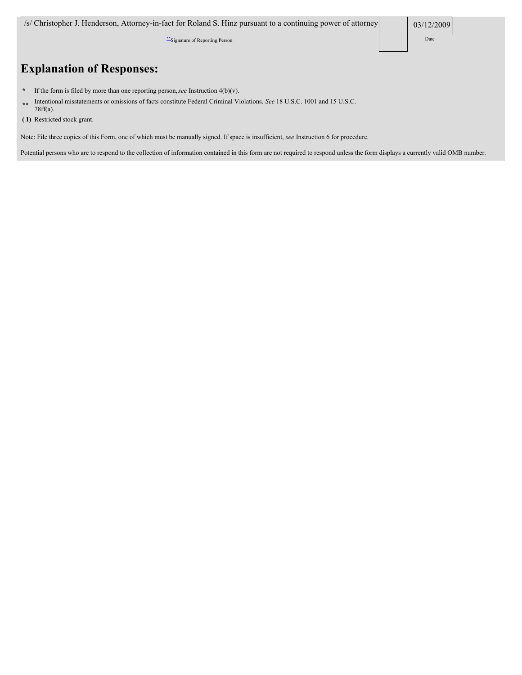\*\*Signature of Reporting Person Date

# **Explanation of Responses:**

- **\*** If the form is filed by more than one reporting person,*see* Instruction 4(b)(v).
- **\*\*** Intentional misstatements or omissions of facts constitute Federal Criminal Violations. *See* 18 U.S.C. 1001 and 15 U.S.C. 78ff(a).
- **( 1)** Restricted stock grant.

Note: File three copies of this Form, one of which must be manually signed. If space is insufficient, *see* Instruction 6 for procedure.

Potential persons who are to respond to the collection of information contained in this form are not required to respond unless the form displays a currently valid OMB number.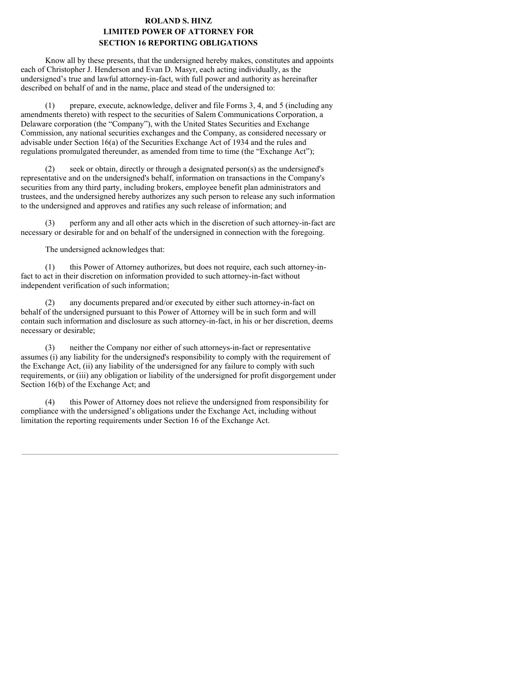### **ROLAND S. HINZ LIMITED POWER OF ATTORNEY FOR SECTION 16 REPORTING OBLIGATIONS**

Know all by these presents, that the undersigned hereby makes, constitutes and appoints each of Christopher J. Henderson and Evan D. Masyr, each acting individually, as the undersigned's true and lawful attorney-in-fact, with full power and authority as hereinafter described on behalf of and in the name, place and stead of the undersigned to:

(1) prepare, execute, acknowledge, deliver and file Forms 3, 4, and 5 (including any amendments thereto) with respect to the securities of Salem Communications Corporation, a Delaware corporation (the "Company"), with the United States Securities and Exchange Commission, any national securities exchanges and the Company, as considered necessary or advisable under Section 16(a) of the Securities Exchange Act of 1934 and the rules and regulations promulgated thereunder, as amended from time to time (the "Exchange Act");

(2) seek or obtain, directly or through a designated person(s) as the undersigned's representative and on the undersigned's behalf, information on transactions in the Company's securities from any third party, including brokers, employee benefit plan administrators and trustees, and the undersigned hereby authorizes any such person to release any such information to the undersigned and approves and ratifies any such release of information; and

(3) perform any and all other acts which in the discretion of such attorney-in-fact are necessary or desirable for and on behalf of the undersigned in connection with the foregoing.

The undersigned acknowledges that:

(1) this Power of Attorney authorizes, but does not require, each such attorney-infact to act in their discretion on information provided to such attorney-in-fact without independent verification of such information;

(2) any documents prepared and/or executed by either such attorney-in-fact on behalf of the undersigned pursuant to this Power of Attorney will be in such form and will contain such information and disclosure as such attorney-in-fact, in his or her discretion, deems necessary or desirable;

(3) neither the Company nor either of such attorneys-in-fact or representative assumes (i) any liability for the undersigned's responsibility to comply with the requirement of the Exchange Act, (ii) any liability of the undersigned for any failure to comply with such requirements, or (iii) any obligation or liability of the undersigned for profit disgorgement under Section 16(b) of the Exchange Act; and

(4) this Power of Attorney does not relieve the undersigned from responsibility for compliance with the undersigned's obligations under the Exchange Act, including without limitation the reporting requirements under Section 16 of the Exchange Act.